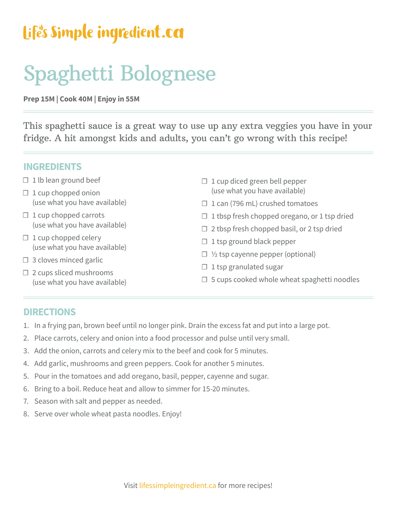## Life's Simple ingredient.ca

# Spaghetti Bolognese

**Prep 15M | Cook 40M | Enjoy in 55M**

This spaghetti sauce is a great way to use up any extra veggies you have in your fridge. A hit amongst kids and adults, you can't go wrong with this recipe!

#### **INGREDIENTS**

- $\Box$  1 lb lean ground beef
- $\Box$  1 cup chopped onion (use what you have available)
- $\Box$  1 cup chopped carrots (use what you have available)
- $\Box$  1 cup chopped celery (use what you have available)
- $\Box$  3 cloves minced garlic
- $\Box$  2 cups sliced mushrooms (use what you have available)
- $\Box$  1 cup diced green bell pepper (use what you have available)
- $\Box$  1 can (796 mL) crushed tomatoes
- $\Box$  1 tbsp fresh chopped oregano, or 1 tsp dried
- $\Box$  2 tbsp fresh chopped basil, or 2 tsp dried
- $\Box$  1 tsp ground black pepper
- ☐ ½ tsp cayenne pepper (optional)
- $\Box$  1 tsp granulated sugar
- $\Box$  5 cups cooked whole wheat spaghetti noodles

### **DIRECTIONS**

- 1. In a frying pan, brown beef until no longer pink. Drain the excess fat and put into a large pot.
- 2. Place carrots, celery and onion into a food processor and pulse until very small.
- 3. Add the onion, carrots and celery mix to the beef and cook for 5 minutes.
- 4. Add garlic, mushrooms and green peppers. Cook for another 5 minutes.
- 5. Pour in the tomatoes and add oregano, basil, pepper, cayenne and sugar.
- 6. Bring to a boil. Reduce heat and allow to simmer for 15-20 minutes.
- 7. Season with salt and pepper as needed.
- 8. Serve over whole wheat pasta noodles. Enjoy!